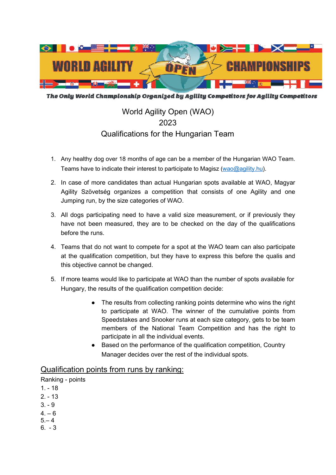

The Only World Championship Organized by Agility Competitors for Agility Competitors

# World Agility Open (WAO) 2023 Qualifications for the Hungarian Team

- 1. Any healthy dog over 18 months of age can be a member of the Hungarian WAO Team. Teams have to indicate their interest to participate to Magisz (wao@agility.hu).
- 2. In case of more candidates than actual Hungarian spots available at WAO, Magyar Agility Szövetség organizes a competition that consists of one Agility and one Jumping run, by the size categories of WAO.
- 3. All dogs participating need to have a valid size measurement, or if previously they have not been measured, they are to be checked on the day of the qualifications before the runs.
- 4. Teams that do not want to compete for a spot at the WAO team can also participate at the qualification competition, but they have to express this before the qualis and this objective cannot be changed.
- 5. If more teams would like to participate at WAO than the number of spots available for Hungary, the results of the qualification competition decide:
	- The results from collecting ranking points determine who wins the right to participate at WAO. The winner of the cumulative points from Speedstakes and Snooker runs at each size category, gets to be team members of the National Team Competition and has the right to participate in all the individual events.
	- Based on the performance of the qualification competition, Country Manager decides over the rest of the individual spots.

## Qualification points from runs by ranking:

Ranking - points

- $1. 18$
- 2. 13
- $3. 9$
- $4. 6$
- $5 4$
- 6. 3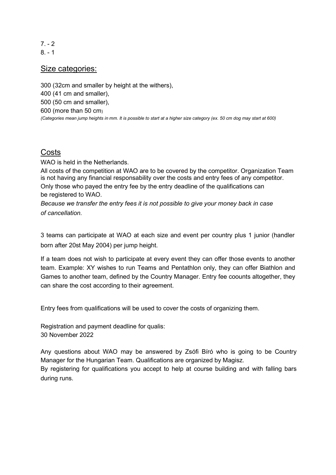7. - 2  $8 - 1$ 

### Size categories:

300 (32cm and smaller by height at the withers), 400 (41 cm and smaller), 500 (50 cm and smaller), 600 (more than 50 cm) (Categories mean jump heights in mm. It is possible to start at a higher size category (ex. 50 cm dog may start at 600)

#### **Costs**

WAO is held in the Netherlands.

All costs of the competition at WAO are to be covered by the competitor. Organization Team is not having any financial responsability over the costs and entry fees of any competitor. Only those who payed the entry fee by the entry deadline of the qualifications can be registered to WAO.

Because we transfer the entry fees it is not possible to give your money back in case of cancellation.

3 teams can participate at WAO at each size and event per country plus 1 junior (handler born after 20st May 2004) per jump height.

If a team does not wish to participate at every event they can offer those events to another team. Example: XY wishes to run Teams and Pentathlon only, they can offer Biathlon and Games to another team, defined by the Country Manager. Entry fee coounts altogether, they can share the cost according to their agreement.

Entry fees from qualifications will be used to cover the costs of organizing them.

Registration and payment deadline for qualis: 30 November 2022

Any questions about WAO may be answered by Zsófi Bíró who is going to be Country Manager for the Hungarian Team. Qualifications are organized by Magisz.

By registering for qualifications you accept to help at course building and with falling bars during runs.